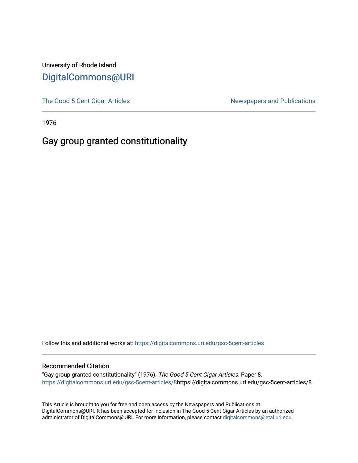University of Rhode Island [DigitalCommons@URI](https://digitalcommons.uri.edu/) 

[The Good 5 Cent Cigar Articles](https://digitalcommons.uri.edu/gsc-5cent-articles) Newspapers and Publications

1976

## Gay group granted constitutionality

Follow this and additional works at: [https://digitalcommons.uri.edu/gsc-5cent-articles](https://digitalcommons.uri.edu/gsc-5cent-articles?utm_source=digitalcommons.uri.edu%2Fgsc-5cent-articles%2F8&utm_medium=PDF&utm_campaign=PDFCoverPages) 

## Recommended Citation

"Gay group granted constitutionality" (1976). The Good 5 Cent Cigar Articles. Paper 8. [https://digitalcommons.uri.edu/gsc-5cent-articles/8h](https://digitalcommons.uri.edu/gsc-5cent-articles/8?utm_source=digitalcommons.uri.edu%2Fgsc-5cent-articles%2F8&utm_medium=PDF&utm_campaign=PDFCoverPages)ttps://digitalcommons.uri.edu/gsc-5cent-articles/8

This Article is brought to you for free and open access by the Newspapers and Publications at DigitalCommons@URI. It has been accepted for inclusion in The Good 5 Cent Cigar Articles by an authorized administrator of DigitalCommons@URI. For more information, please contact [digitalcommons@etal.uri.edu.](mailto:digitalcommons@etal.uri.edu)